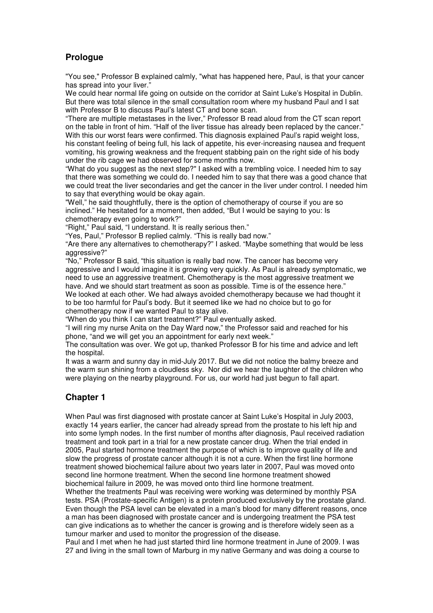## **Prologue**

"You see," Professor B explained calmly, "what has happened here, Paul, is that your cancer has spread into your liver."

We could hear normal life going on outside on the corridor at Saint Luke's Hospital in Dublin. But there was total silence in the small consultation room where my husband Paul and I sat with Professor B to discuss Paul's latest CT and bone scan.

"There are multiple metastases in the liver," Professor B read aloud from the CT scan report on the table in front of him. "Half of the liver tissue has already been replaced by the cancer." With this our worst fears were confirmed. This diagnosis explained Paul's rapid weight loss, his constant feeling of being full, his lack of appetite, his ever-increasing nausea and frequent vomiting, his growing weakness and the frequent stabbing pain on the right side of his body under the rib cage we had observed for some months now.

"What do you suggest as the next step?" I asked with a trembling voice. I needed him to say that there was something we could do. I needed him to say that there was a good chance that we could treat the liver secondaries and get the cancer in the liver under control. I needed him to say that everything would be okay again.

"Well," he said thoughtfully, there is the option of chemotherapy of course if you are so inclined." He hesitated for a moment, then added, "But I would be saying to you: Is chemotherapy even going to work?"

"Right," Paul said, "I understand. It is really serious then."

"Yes, Paul," Professor B replied calmly. "This is really bad now."

"Are there any alternatives to chemotherapy?" I asked. "Maybe something that would be less aggressive?"

"No," Professor B said, "this situation is really bad now. The cancer has become very aggressive and I would imagine it is growing very quickly. As Paul is already symptomatic, we need to use an aggressive treatment. Chemotherapy is the most aggressive treatment we have. And we should start treatment as soon as possible. Time is of the essence here." We looked at each other. We had always avoided chemotherapy because we had thought it to be too harmful for Paul's body. But it seemed like we had no choice but to go for chemotherapy now if we wanted Paul to stay alive.

"When do you think I can start treatment?" Paul eventually asked.

"I will ring my nurse Anita on the Day Ward now," the Professor said and reached for his phone, "and we will get you an appointment for early next week."

The consultation was over. We got up, thanked Professor B for his time and advice and left the hospital.

It was a warm and sunny day in mid-July 2017. But we did not notice the balmy breeze and the warm sun shining from a cloudless sky. Nor did we hear the laughter of the children who were playing on the nearby playground. For us, our world had just begun to fall apart.

## **Chapter 1**

When Paul was first diagnosed with prostate cancer at Saint Luke's Hospital in July 2003, exactly 14 years earlier, the cancer had already spread from the prostate to his left hip and into some lymph nodes. In the first number of months after diagnosis, Paul received radiation treatment and took part in a trial for a new prostate cancer drug. When the trial ended in 2005, Paul started hormone treatment the purpose of which is to improve quality of life and slow the progress of prostate cancer although it is not a cure. When the first line hormone treatment showed biochemical failure about two years later in 2007, Paul was moved onto second line hormone treatment. When the second line hormone treatment showed biochemical failure in 2009, he was moved onto third line hormone treatment. Whether the treatments Paul was receiving were working was determined by monthly PSA tests. PSA (Prostate-specific Antigen) is a protein produced exclusively by the prostate gland. Even though the PSA level can be elevated in a man's blood for many different reasons, once a man has been diagnosed with prostate cancer and is undergoing treatment the PSA test can give indications as to whether the cancer is growing and is therefore widely seen as a tumour marker and used to monitor the progression of the disease.

Paul and I met when he had just started third line hormone treatment in June of 2009. I was 27 and living in the small town of Marburg in my native Germany and was doing a course to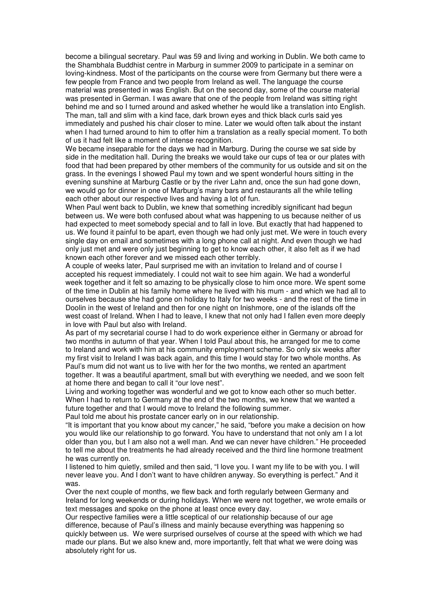become a bilingual secretary. Paul was 59 and living and working in Dublin. We both came to the Shambhala Buddhist centre in Marburg in summer 2009 to participate in a seminar on loving-kindness. Most of the participants on the course were from Germany but there were a few people from France and two people from Ireland as well. The language the course material was presented in was English. But on the second day, some of the course material was presented in German. I was aware that one of the people from Ireland was sitting right behind me and so I turned around and asked whether he would like a translation into English. The man, tall and slim with a kind face, dark brown eyes and thick black curls said yes immediately and pushed his chair closer to mine. Later we would often talk about the instant when I had turned around to him to offer him a translation as a really special moment. To both of us it had felt like a moment of intense recognition.

We became inseparable for the days we had in Marburg. During the course we sat side by side in the meditation hall. During the breaks we would take our cups of tea or our plates with food that had been prepared by other members of the community for us outside and sit on the grass. In the evenings I showed Paul my town and we spent wonderful hours sitting in the evening sunshine at Marburg Castle or by the river Lahn and, once the sun had gone down, we would go for dinner in one of Marburg's many bars and restaurants all the while telling each other about our respective lives and having a lot of fun.

When Paul went back to Dublin, we knew that something incredibly significant had begun between us. We were both confused about what was happening to us because neither of us had expected to meet somebody special and to fall in love. But exactly that had happened to us. We found it painful to be apart, even though we had only just met. We were in touch every single day on email and sometimes with a long phone call at night. And even though we had only just met and were only just beginning to get to know each other, it also felt as if we had known each other forever and we missed each other terribly.

A couple of weeks later, Paul surprised me with an invitation to Ireland and of course I accepted his request immediately. I could not wait to see him again. We had a wonderful week together and it felt so amazing to be physically close to him once more. We spent some of the time in Dublin at his family home where he lived with his mum - and which we had all to ourselves because she had gone on holiday to Italy for two weeks - and the rest of the time in Doolin in the west of Ireland and then for one night on Inishmore, one of the islands off the west coast of Ireland. When I had to leave, I knew that not only had I fallen even more deeply in love with Paul but also with Ireland.

As part of my secretarial course I had to do work experience either in Germany or abroad for two months in autumn of that year. When I told Paul about this, he arranged for me to come to Ireland and work with him at his community employment scheme. So only six weeks after my first visit to Ireland I was back again, and this time I would stay for two whole months. As Paul's mum did not want us to live with her for the two months, we rented an apartment together. It was a beautiful apartment, small but with everything we needed, and we soon felt at home there and began to call it "our love nest".

Living and working together was wonderful and we got to know each other so much better. When I had to return to Germany at the end of the two months, we knew that we wanted a future together and that I would move to Ireland the following summer. Paul told me about his prostate cancer early on in our relationship.

"It is important that you know about my cancer," he said, "before you make a decision on how you would like our relationship to go forward. You have to understand that not only am I a lot older than you, but I am also not a well man. And we can never have children." He proceeded to tell me about the treatments he had already received and the third line hormone treatment he was currently on.

I listened to him quietly, smiled and then said, "I love you. I want my life to be with you. I will never leave you. And I don't want to have children anyway. So everything is perfect." And it was.

Over the next couple of months, we flew back and forth regularly between Germany and Ireland for long weekends or during holidays. When we were not together, we wrote emails or text messages and spoke on the phone at least once every day.

Our respective families were a little sceptical of our relationship because of our age difference, because of Paul's illness and mainly because everything was happening so quickly between us. We were surprised ourselves of course at the speed with which we had made our plans. But we also knew and, more importantly, felt that what we were doing was absolutely right for us.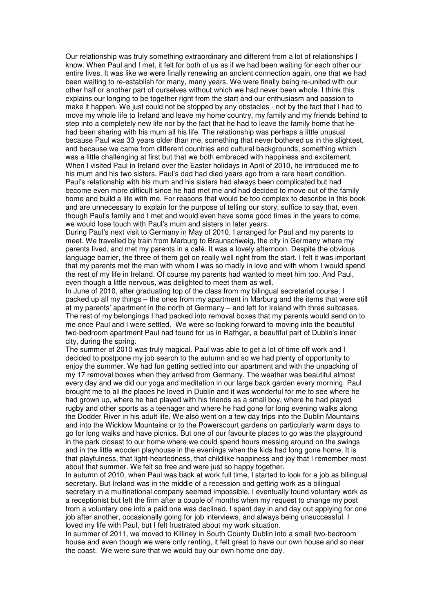Our relationship was truly something extraordinary and different from a lot of relationships I know. When Paul and I met, it felt for both of us as if we had been waiting for each other our entire lives. It was like we were finally renewing an ancient connection again, one that we had been waiting to re-establish for many, many years. We were finally being re-united with our other half or another part of ourselves without which we had never been whole. I think this explains our longing to be together right from the start and our enthusiasm and passion to make it happen. We just could not be stopped by any obstacles - not by the fact that I had to move my whole life to Ireland and leave my home country, my family and my friends behind to step into a completely new life nor by the fact that he had to leave the family home that he had been sharing with his mum all his life. The relationship was perhaps a little unusual because Paul was 33 years older than me, something that never bothered us in the slightest, and because we came from different countries and cultural backgrounds, something which was a little challenging at first but that we both embraced with happiness and excitement. When I visited Paul in Ireland over the Easter holidays in April of 2010, he introduced me to his mum and his two sisters. Paul's dad had died years ago from a rare heart condition. Paul's relationship with his mum and his sisters had always been complicated but had become even more difficult since he had met me and had decided to move out of the family home and build a life with me. For reasons that would be too complex to describe in this book and are unnecessary to explain for the purpose of telling our story, suffice to say that, even though Paul's family and I met and would even have some good times in the years to come, we would lose touch with Paul's mum and sisters in later years.

During Paul's next visit to Germany in May of 2010, I arranged for Paul and my parents to meet. We travelled by train from Marburg to Braunschweig, the city in Germany where my parents lived, and met my parents in a café. It was a lovely afternoon. Despite the obvious language barrier, the three of them got on really well right from the start. I felt it was important that my parents met the man with whom I was so madly in love and with whom I would spend the rest of my life in Ireland. Of course my parents had wanted to meet him too. And Paul, even though a little nervous, was delighted to meet them as well.

In June of 2010, after graduating top of the class from my bilingual secretarial course, I packed up all my things – the ones from my apartment in Marburg and the items that were still at my parents' apartment in the north of Germany – and left for Ireland with three suitcases. The rest of my belongings I had packed into removal boxes that my parents would send on to me once Paul and I were settled. We were so looking forward to moving into the beautiful two-bedroom apartment Paul had found for us in Rathgar, a beautiful part of Dublin's inner city, during the spring.

The summer of 2010 was truly magical. Paul was able to get a lot of time off work and I decided to postpone my job search to the autumn and so we had plenty of opportunity to enjoy the summer. We had fun getting settled into our apartment and with the unpacking of my 17 removal boxes when they arrived from Germany. The weather was beautiful almost every day and we did our yoga and meditation in our large back garden every morning. Paul brought me to all the places he loved in Dublin and it was wonderful for me to see where he had grown up, where he had played with his friends as a small boy, where he had played rugby and other sports as a teenager and where he had gone for long evening walks along the Dodder River in his adult life. We also went on a few day trips into the Dublin Mountains and into the Wicklow Mountains or to the Powerscourt gardens on particularly warm days to go for long walks and have picnics. But one of our favourite places to go was the playground in the park closest to our home where we could spend hours messing around on the swings and in the little wooden playhouse in the evenings when the kids had long gone home. It is that playfulness, that light-heartedness, that childlike happiness and joy that I remember most about that summer. We felt so free and were just so happy together.

In autumn of 2010, when Paul was back at work full time, I started to look for a job as bilingual secretary. But Ireland was in the middle of a recession and getting work as a bilingual secretary in a multinational company seemed impossible. I eventually found voluntary work as a receptionist but left the firm after a couple of months when my request to change my post from a voluntary one into a paid one was declined. I spent day in and day out applying for one job after another, occasionally going for job interviews, and always being unsuccessful. I loved my life with Paul, but I felt frustrated about my work situation.

In summer of 2011, we moved to Killiney in South County Dublin into a small two-bedroom house and even though we were only renting, it felt great to have our own house and so near the coast. We were sure that we would buy our own home one day.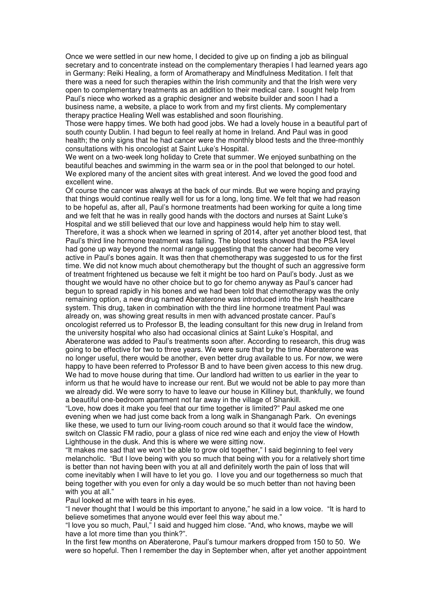Once we were settled in our new home, I decided to give up on finding a job as bilingual secretary and to concentrate instead on the complementary therapies I had learned years ago in Germany: Reiki Healing, a form of Aromatherapy and Mindfulness Meditation. I felt that there was a need for such therapies within the Irish community and that the Irish were very open to complementary treatments as an addition to their medical care. I sought help from Paul's niece who worked as a graphic designer and website builder and soon I had a business name, a website, a place to work from and my first clients. My complementary therapy practice Healing Well was established and soon flourishing.

Those were happy times. We both had good jobs. We had a lovely house in a beautiful part of south county Dublin. I had begun to feel really at home in Ireland. And Paul was in good health; the only signs that he had cancer were the monthly blood tests and the three-monthly consultations with his oncologist at Saint Luke's Hospital.

We went on a two-week long holiday to Crete that summer. We enjoyed sunbathing on the beautiful beaches and swimming in the warm sea or in the pool that belonged to our hotel. We explored many of the ancient sites with great interest. And we loved the good food and excellent wine.

Of course the cancer was always at the back of our minds. But we were hoping and praying that things would continue really well for us for a long, long time. We felt that we had reason to be hopeful as, after all, Paul's hormone treatments had been working for quite a long time and we felt that he was in really good hands with the doctors and nurses at Saint Luke's Hospital and we still believed that our love and happiness would help him to stay well. Therefore, it was a shock when we learned in spring of 2014, after yet another blood test, that Paul's third line hormone treatment was failing. The blood tests showed that the PSA level had gone up way beyond the normal range suggesting that the cancer had become very active in Paul's bones again. It was then that chemotherapy was suggested to us for the first time. We did not know much about chemotherapy but the thought of such an aggressive form of treatment frightened us because we felt it might be too hard on Paul's body. Just as we thought we would have no other choice but to go for chemo anyway as Paul's cancer had begun to spread rapidly in his bones and we had been told that chemotherapy was the only remaining option, a new drug named Aberaterone was introduced into the Irish healthcare system. This drug, taken in combination with the third line hormone treatment Paul was already on, was showing great results in men with advanced prostate cancer. Paul's oncologist referred us to Professor B, the leading consultant for this new drug in Ireland from the university hospital who also had occasional clinics at Saint Luke's Hospital, and Aberaterone was added to Paul's treatments soon after. According to research, this drug was going to be effective for two to three years. We were sure that by the time Aberaterone was no longer useful, there would be another, even better drug available to us. For now, we were happy to have been referred to Professor B and to have been given access to this new drug. We had to move house during that time. Our landlord had written to us earlier in the year to inform us that he would have to increase our rent. But we would not be able to pay more than we already did. We were sorry to have to leave our house in Killiney but, thankfully, we found a beautiful one-bedroom apartment not far away in the village of Shankill.

"Love, how does it make you feel that our time together is limited?" Paul asked me one evening when we had just come back from a long walk in Shanganagh Park. On evenings like these, we used to turn our living-room couch around so that it would face the window, switch on Classic FM radio, pour a glass of nice red wine each and enjoy the view of Howth Lighthouse in the dusk. And this is where we were sitting now.

"It makes me sad that we won't be able to grow old together," I said beginning to feel very melancholic. "But I love being with you so much that being with you for a relatively short time is better than not having been with you at all and definitely worth the pain of loss that will come inevitably when I will have to let you go. I love you and our togetherness so much that being together with you even for only a day would be so much better than not having been with you at all."

Paul looked at me with tears in his eyes.

"I never thought that I would be this important to anyone," he said in a low voice. "It is hard to believe sometimes that anyone would ever feel this way about me."

"I love you so much, Paul," I said and hugged him close. "And, who knows, maybe we will have a lot more time than you think?".

In the first few months on Aberaterone, Paul's tumour markers dropped from 150 to 50. We were so hopeful. Then I remember the day in September when, after yet another appointment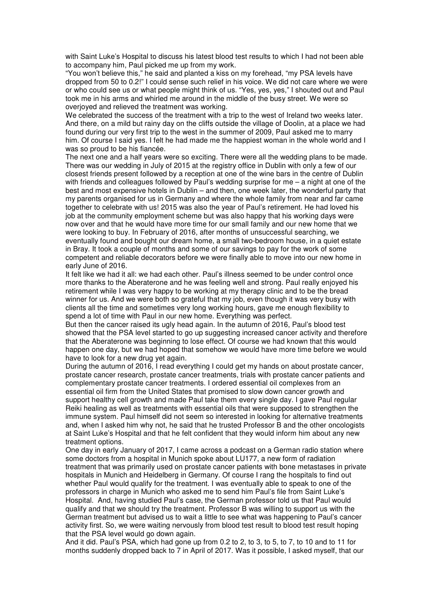with Saint Luke's Hospital to discuss his latest blood test results to which I had not been able to accompany him, Paul picked me up from my work.

"You won't believe this," he said and planted a kiss on my forehead, "my PSA levels have dropped from 50 to 0.2!" I could sense such relief in his voice. We did not care where we were or who could see us or what people might think of us. "Yes, yes, yes," I shouted out and Paul took me in his arms and whirled me around in the middle of the busy street. We were so overjoyed and relieved the treatment was working.

We celebrated the success of the treatment with a trip to the west of Ireland two weeks later. And there, on a mild but rainy day on the cliffs outside the village of Doolin, at a place we had found during our very first trip to the west in the summer of 2009, Paul asked me to marry him. Of course I said yes. I felt he had made me the happiest woman in the whole world and I was so proud to be his fiancée.

The next one and a half years were so exciting. There were all the wedding plans to be made. There was our wedding in July of 2015 at the registry office in Dublin with only a few of our closest friends present followed by a reception at one of the wine bars in the centre of Dublin with friends and colleagues followed by Paul's wedding surprise for me – a night at one of the best and most expensive hotels in Dublin – and then, one week later, the wonderful party that my parents organised for us in Germany and where the whole family from near and far came together to celebrate with us! 2015 was also the year of Paul's retirement. He had loved his job at the community employment scheme but was also happy that his working days were now over and that he would have more time for our small family and our new home that we were looking to buy. In February of 2016, after months of unsuccessful searching, we eventually found and bought our dream home, a small two-bedroom house, in a quiet estate in Bray. It took a couple of months and some of our savings to pay for the work of some competent and reliable decorators before we were finally able to move into our new home in early June of 2016.

It felt like we had it all: we had each other. Paul's illness seemed to be under control once more thanks to the Aberaterone and he was feeling well and strong. Paul really enjoyed his retirement while I was very happy to be working at my therapy clinic and to be the bread winner for us. And we were both so grateful that my job, even though it was very busy with clients all the time and sometimes very long working hours, gave me enough flexibility to spend a lot of time with Paul in our new home. Everything was perfect.

But then the cancer raised its ugly head again. In the autumn of 2016, Paul's blood test showed that the PSA level started to go up suggesting increased cancer activity and therefore that the Aberaterone was beginning to lose effect. Of course we had known that this would happen one day, but we had hoped that somehow we would have more time before we would have to look for a new drug yet again.

During the autumn of 2016, I read everything I could get my hands on about prostate cancer, prostate cancer research, prostate cancer treatments, trials with prostate cancer patients and complementary prostate cancer treatments. I ordered essential oil complexes from an essential oil firm from the United States that promised to slow down cancer growth and support healthy cell growth and made Paul take them every single day. I gave Paul regular Reiki healing as well as treatments with essential oils that were supposed to strengthen the immune system. Paul himself did not seem so interested in looking for alternative treatments and, when I asked him why not, he said that he trusted Professor B and the other oncologists at Saint Luke's Hospital and that he felt confident that they would inform him about any new treatment options.

One day in early January of 2017, I came across a podcast on a German radio station where some doctors from a hospital in Munich spoke about LU177, a new form of radiation treatment that was primarily used on prostate cancer patients with bone metastases in private hospitals in Munich and Heidelberg in Germany. Of course I rang the hospitals to find out whether Paul would qualify for the treatment. I was eventually able to speak to one of the professors in charge in Munich who asked me to send him Paul's file from Saint Luke's Hospital. And, having studied Paul's case, the German professor told us that Paul would qualify and that we should try the treatment. Professor B was willing to support us with the German treatment but advised us to wait a little to see what was happening to Paul's cancer activity first. So, we were waiting nervously from blood test result to blood test result hoping that the PSA level would go down again.

And it did. Paul's PSA, which had gone up from 0.2 to 2, to 3, to 5, to 7, to 10 and to 11 for months suddenly dropped back to 7 in April of 2017. Was it possible, I asked myself, that our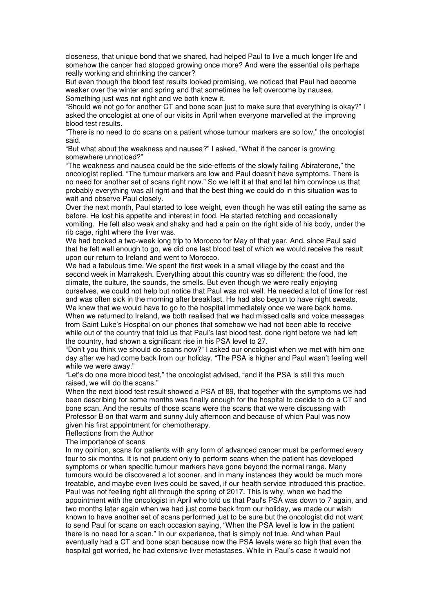closeness, that unique bond that we shared, had helped Paul to live a much longer life and somehow the cancer had stopped growing once more? And were the essential oils perhaps really working and shrinking the cancer?

But even though the blood test results looked promising, we noticed that Paul had become weaker over the winter and spring and that sometimes he felt overcome by nausea. Something just was not right and we both knew it.

"Should we not go for another CT and bone scan just to make sure that everything is okay?" I asked the oncologist at one of our visits in April when everyone marvelled at the improving blood test results.

"There is no need to do scans on a patient whose tumour markers are so low," the oncologist said.

"But what about the weakness and nausea?" I asked, "What if the cancer is growing somewhere unnoticed?"

"The weakness and nausea could be the side-effects of the slowly failing Abiraterone," the oncologist replied. "The tumour markers are low and Paul doesn't have symptoms. There is no need for another set of scans right now." So we left it at that and let him convince us that probably everything was all right and that the best thing we could do in this situation was to wait and observe Paul closely.

Over the next month, Paul started to lose weight, even though he was still eating the same as before. He lost his appetite and interest in food. He started retching and occasionally vomiting. He felt also weak and shaky and had a pain on the right side of his body, under the rib cage, right where the liver was.

We had booked a two-week long trip to Morocco for May of that year. And, since Paul said that he felt well enough to go, we did one last blood test of which we would receive the result upon our return to Ireland and went to Morocco.

We had a fabulous time. We spent the first week in a small village by the coast and the second week in Marrakesh. Everything about this country was so different: the food, the climate, the culture, the sounds, the smells. But even though we were really enjoying ourselves, we could not help but notice that Paul was not well. He needed a lot of time for rest and was often sick in the morning after breakfast. He had also begun to have night sweats. We knew that we would have to go to the hospital immediately once we were back home. When we returned to Ireland, we both realised that we had missed calls and voice messages from Saint Luke's Hospital on our phones that somehow we had not been able to receive while out of the country that told us that Paul's last blood test, done right before we had left the country, had shown a significant rise in his PSA level to 27.

"Don't you think we should do scans now?" I asked our oncologist when we met with him one day after we had come back from our holiday. "The PSA is higher and Paul wasn't feeling well while we were away."

"Let's do one more blood test," the oncologist advised, "and if the PSA is still this much raised, we will do the scans."

When the next blood test result showed a PSA of 89, that together with the symptoms we had been describing for some months was finally enough for the hospital to decide to do a CT and bone scan. And the results of those scans were the scans that we were discussing with Professor B on that warm and sunny July afternoon and because of which Paul was now given his first appointment for chemotherapy.

Reflections from the Author

The importance of scans

In my opinion, scans for patients with any form of advanced cancer must be performed every four to six months. It is not prudent only to perform scans when the patient has developed symptoms or when specific tumour markers have gone beyond the normal range. Many tumours would be discovered a lot sooner, and in many instances they would be much more treatable, and maybe even lives could be saved, if our health service introduced this practice. Paul was not feeling right all through the spring of 2017. This is why, when we had the appointment with the oncologist in April who told us that Paul's PSA was down to 7 again, and two months later again when we had just come back from our holiday, we made our wish known to have another set of scans performed just to be sure but the oncologist did not want to send Paul for scans on each occasion saying, "When the PSA level is low in the patient there is no need for a scan." In our experience, that is simply not true. And when Paul eventually had a CT and bone scan because now the PSA levels were so high that even the hospital got worried, he had extensive liver metastases. While in Paul's case it would not